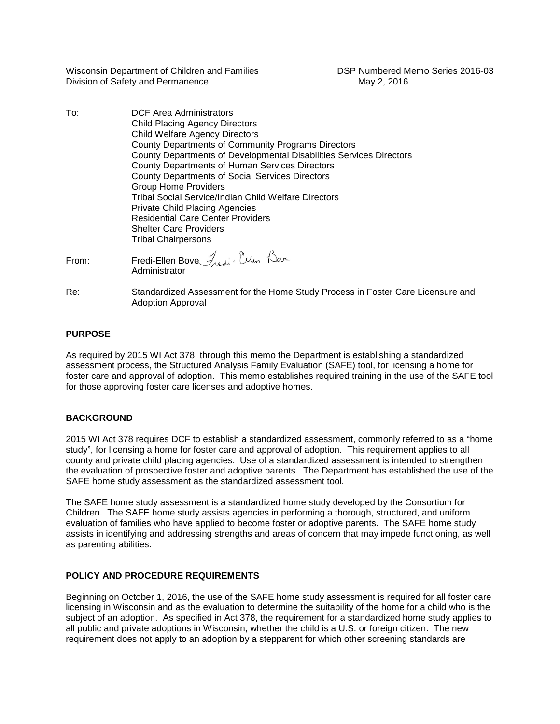Wisconsin Department of Children and Families DSP Numbered Memo Series 2016-03 Division of Safety and Permanence May 2, 2016

To: DCF Area Administrators Child Placing Agency Directors Child Welfare Agency Directors County Departments of Community Programs Directors County Departments of Developmental Disabilities Services Directors County Departments of Human Services Directors County Departments of Social Services Directors Group Home Providers Tribal Social Service/Indian Child Welfare Directors Private Child Placing Agencies Residential Care Center Providers Shelter Care Providers Tribal Chairpersons

From: Fredi-Ellen Bove Fredi : Ellen Bave Administrator

Re: Standardized Assessment for the Home Study Process in Foster Care Licensure and Adoption Approval

# **PURPOSE**

As required by 2015 WI Act 378, through this memo the Department is establishing a standardized assessment process, the Structured Analysis Family Evaluation (SAFE) tool, for licensing a home for foster care and approval of adoption. This memo establishes required training in the use of the SAFE tool for those approving foster care licenses and adoptive homes.

# **BACKGROUND**

2015 WI Act 378 requires DCF to establish a standardized assessment, commonly referred to as a "home study", for licensing a home for foster care and approval of adoption. This requirement applies to all county and private child placing agencies. Use of a standardized assessment is intended to strengthen the evaluation of prospective foster and adoptive parents. The Department has established the use of the SAFE home study assessment as the standardized assessment tool.

The SAFE home study assessment is a standardized home study developed by the Consortium for Children. The SAFE home study assists agencies in performing a thorough, structured, and uniform evaluation of families who have applied to become foster or adoptive parents. The SAFE home study assists in identifying and addressing strengths and areas of concern that may impede functioning, as well as parenting abilities.

# **POLICY AND PROCEDURE REQUIREMENTS**

Beginning on October 1, 2016, the use of the SAFE home study assessment is required for all foster care licensing in Wisconsin and as the evaluation to determine the suitability of the home for a child who is the subject of an adoption. As specified in Act 378, the requirement for a standardized home study applies to all public and private adoptions in Wisconsin, whether the child is a U.S. or foreign citizen. The new requirement does not apply to an adoption by a stepparent for which other screening standards are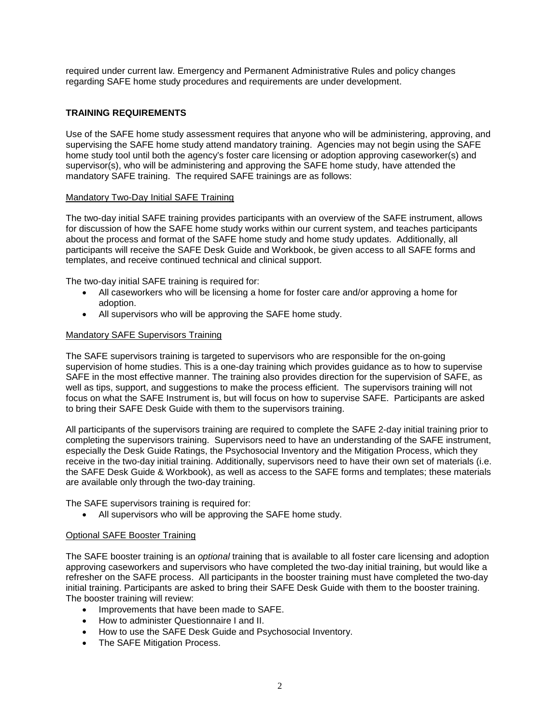required under current law. Emergency and Permanent Administrative Rules and policy changes regarding SAFE home study procedures and requirements are under development.

# **TRAINING REQUIREMENTS**

Use of the SAFE home study assessment requires that anyone who will be administering, approving, and supervising the SAFE home study attend mandatory training. Agencies may not begin using the SAFE home study tool until both the agency's foster care licensing or adoption approving caseworker(s) and supervisor(s), who will be administering and approving the SAFE home study, have attended the mandatory SAFE training. The required SAFE trainings are as follows:

### Mandatory Two-Day Initial SAFE Training

The two-day initial SAFE training provides participants with an overview of the SAFE instrument, allows for discussion of how the SAFE home study works within our current system, and teaches participants about the process and format of the SAFE home study and home study updates. Additionally, all participants will receive the SAFE Desk Guide and Workbook, be given access to all SAFE forms and templates, and receive continued technical and clinical support.

The two-day initial SAFE training is required for:

- All caseworkers who will be licensing a home for foster care and/or approving a home for adoption.
- All supervisors who will be approving the SAFE home study.

### Mandatory SAFE Supervisors Training

The SAFE supervisors training is targeted to supervisors who are responsible for the on-going supervision of home studies. This is a one-day training which provides guidance as to how to supervise SAFE in the most effective manner. The training also provides direction for the supervision of SAFE, as well as tips, support, and suggestions to make the process efficient. The supervisors training will not focus on what the SAFE Instrument is, but will focus on how to supervise SAFE. Participants are asked to bring their SAFE Desk Guide with them to the supervisors training.

All participants of the supervisors training are required to complete the SAFE 2-day initial training prior to completing the supervisors training. Supervisors need to have an understanding of the SAFE instrument, especially the Desk Guide Ratings, the Psychosocial Inventory and the Mitigation Process, which they receive in the two-day initial training. Additionally, supervisors need to have their own set of materials (i.e. the SAFE Desk Guide & Workbook), as well as access to the SAFE forms and templates; these materials are available only through the two-day training.

The SAFE supervisors training is required for:

• All supervisors who will be approving the SAFE home study.

#### Optional SAFE Booster Training

The SAFE booster training is an *optional* training that is available to all foster care licensing and adoption approving caseworkers and supervisors who have completed the two-day initial training, but would like a refresher on the SAFE process. All participants in the booster training must have completed the two-day initial training. Participants are asked to bring their SAFE Desk Guide with them to the booster training. The booster training will review:

- Improvements that have been made to SAFE.
- How to administer Questionnaire I and II.
- How to use the SAFE Desk Guide and Psychosocial Inventory.
- The SAFE Mitigation Process.